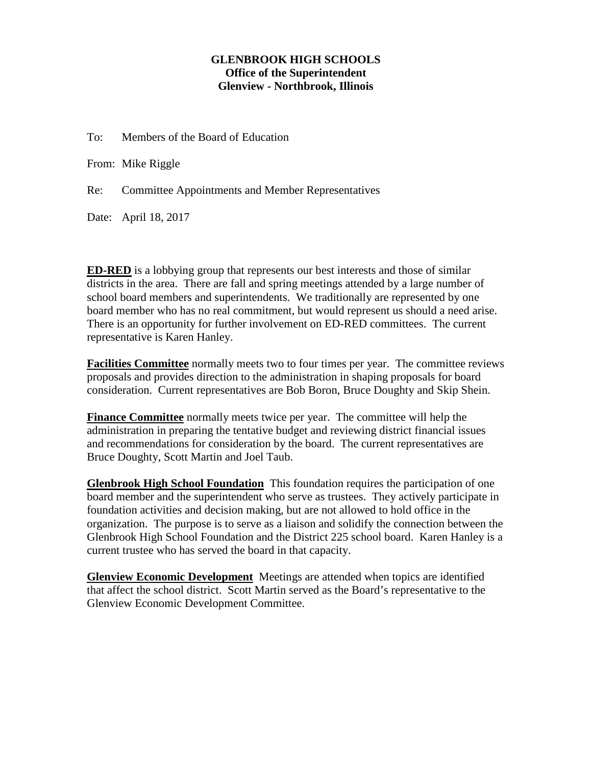## **GLENBROOK HIGH SCHOOLS Office of the Superintendent Glenview - Northbrook, Illinois**

To: Members of the Board of Education

From: Mike Riggle

Re: Committee Appointments and Member Representatives

Date: April 18, 2017

**ED-RED** is a lobbying group that represents our best interests and those of similar districts in the area. There are fall and spring meetings attended by a large number of school board members and superintendents. We traditionally are represented by one board member who has no real commitment, but would represent us should a need arise. There is an opportunity for further involvement on ED-RED committees. The current representative is Karen Hanley.

**Facilities Committee** normally meets two to four times per year. The committee reviews proposals and provides direction to the administration in shaping proposals for board consideration. Current representatives are Bob Boron, Bruce Doughty and Skip Shein.

**Finance Committee** normally meets twice per year. The committee will help the administration in preparing the tentative budget and reviewing district financial issues and recommendations for consideration by the board. The current representatives are Bruce Doughty, Scott Martin and Joel Taub.

**Glenbrook High School Foundation** This foundation requires the participation of one board member and the superintendent who serve as trustees. They actively participate in foundation activities and decision making, but are not allowed to hold office in the organization. The purpose is to serve as a liaison and solidify the connection between the Glenbrook High School Foundation and the District 225 school board. Karen Hanley is a current trustee who has served the board in that capacity.

**Glenview Economic Development** Meetings are attended when topics are identified that affect the school district. Scott Martin served as the Board's representative to the Glenview Economic Development Committee.